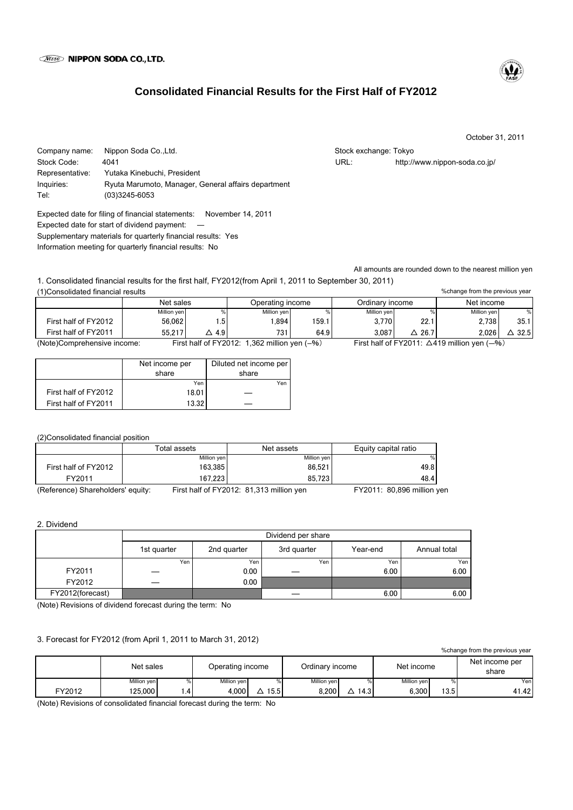# **Consolidated Financial Results for the First Half of FY2012**

October 31, 2011

%change from the previous year

Company name: Nippon Soda Co.,Ltd. Stock exchange: Tokyo Stock exchange: Tokyo Stock Code: 4041 URL: http://www.nippon-soda.co.jp/ Representative: Yutaka Kinebuchi, President Inquiries: Ryuta Marumoto, Manager, General affairs department Tel: (03)3245-6053

Expected date for filing of financial statements: November 14, 2011 Expected date for start of dividend payment: ― Supplementary materials for quarterly financial results: Yes Information meeting for quarterly financial results: No

All amounts are rounded down to the nearest million yen

1. Consolidated financial results for the first half, FY2012(from April 1, 2011 to September 30, 2011) (1)Consolidated financial results

|                             | Net sales   |     | Operating income                                |       | Ordinary income |                                                        | Net income  |                  |  |
|-----------------------------|-------------|-----|-------------------------------------------------|-------|-----------------|--------------------------------------------------------|-------------|------------------|--|
|                             | Million yen |     | Million yen                                     |       | Million yen     | %                                                      | Million yen | %                |  |
| First half of FY2012        | 56.062      | .5  | .894                                            | 159.1 | 3.770           | 22.1                                                   | 2.738       | 35.1             |  |
| First half of FY2011        | 55.217      | 4.9 | 731                                             | 64.9  | 3.087           | 26.7                                                   | 2.026       | $\triangle$ 32.5 |  |
| (Note)Comprehensive income: |             |     | First half of FY2012: 1,362 million yen $(-\%)$ |       |                 | First half of FY2011: $\triangle$ 419 million yen (-%) |             |                  |  |

|                      | Net income per<br>share | Diluted net income per<br>share |
|----------------------|-------------------------|---------------------------------|
|                      | Yen                     | Yen                             |
| First half of FY2012 | 18.01                   |                                 |
| First half of FY2011 | 13.32                   |                                 |

(2)Consolidated financial position

|                                   | Total assets | Net assets                               | Equity capital ratio       |
|-----------------------------------|--------------|------------------------------------------|----------------------------|
|                                   | Million yen  | Million yen                              | %                          |
| First half of FY2012              | 163.385      | 86.521                                   | 49.8                       |
| FY2011                            | 167.223      | 85.723                                   | 48.4                       |
| (Reference) Shareholders' equity: |              | First half of FY2012: 81,313 million yen | FY2011: 80,896 million yen |

2. Dividend

|                  | Dividend per share |             |             |          |              |  |  |
|------------------|--------------------|-------------|-------------|----------|--------------|--|--|
|                  | 1st quarter        | 2nd quarter | 3rd quarter | Year-end | Annual total |  |  |
|                  | Yen                | Yen         | Yen         | Yen      | Yen          |  |  |
| FY2011           |                    | 0.00        |             | 6.00     | 6.00         |  |  |
| FY2012           | _                  | 0.00        |             |          |              |  |  |
| FY2012(forecast) |                    |             |             | 6.00     | 6.00         |  |  |

(Note) Revisions of dividend forecast during the term: No

# 3. Forecast for FY2012 (from April 1, 2011 to March 31, 2012)

| % change from the previous year |             |               |                  |      |             |                 |             |            |                         |
|---------------------------------|-------------|---------------|------------------|------|-------------|-----------------|-------------|------------|-------------------------|
|                                 | Net sales   |               | Operating income |      |             | Ordinary income |             | Net income | Net income per<br>share |
|                                 | Million yen |               | Million ven      |      | Million ven |                 | Million ven |            | Yen                     |
| FY2012                          | 125.000     | $\mathcal{A}$ | 4.000            | 15.5 | 8.200       | 14.31           | 6.300       | 13.5       | 41.42                   |

(Note) Revisions of consolidated financial forecast during the term: No